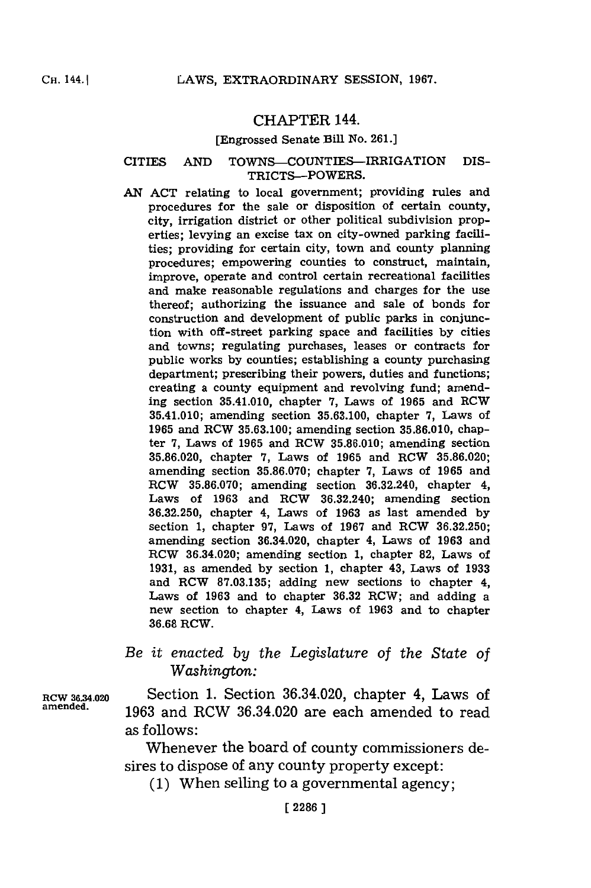## CHAPTER 144.

#### [Engrossed Senate Bill No. **261.]**

### CITIES **AND** TOWNS-COUNTIES-IRRIGATION DIS-TRICTS-POWERS.

*AN* **ACT** relating to local government; providing rules and procedures for the sale or disposition of certain county, city, irrigation district or other political subdivision properties; levying an excise tax on city-owned parking facilities; providing for certain city, town and county planning procedures; empowering counties to construct, maintain, improve, operate and control certain recreational facilities and make reasonable regulations and charges for the use thereof; authorizing the issuance and sale of bonds for construction and development of public parks in conjunction with off-street parking space and facilities **by** cities and towns; regulating purchases, leases or contracts for public works **by** counties; establishing a county purchasing department; prescribing their powers, duties and functions; creating a county equipment and revolving fund; amending section 35.41.010, chapter **7,** Laws of **1965** and RCW 35.41.010; amending section **35.63.100,** chapter **7,** Laws of **1965** and RCW **35.63.100;** amending section **35.86.010,** chapter **7,** Laws of **1965** and ROW **35.86.010;** amending section **35.86.020,** chapter **7,** Laws of **1965** and RCW **35.86.020;** amending section **35.86.070;** chapter **7,** Laws of **1965** and RCW **35.86.070;** amending section 36.32.240, chapter 4, Laws of **1963** and RCW 36.32.240; amending section **36.32.250,** chapter 4, Laws of **1963** as last amended **by** section **1,** chapter **97,** Laws of **1967** and RCW **36.32.250;** amending section 36.34.020, chapter 4, Laws of **1963** and ROW 36.34.020; amending section **1,** chapter **82,** Laws of **1931,** as amended **by** section **1,** chapter 43, Laws of **1933** and ROW **87.03.135;** adding new sections to chapter 4, Laws of **1963** and to chapter **36.32** ROW; and adding a new section to chapter 4, Laws of **1963** and to chapter **36.68** RCW.

# *Be it enacted by the Legislature of the State* of *Washington:*

RCW **36.M4.020** Section **1.** Section 36.34.020, chapter 4, Laws of **amended. 1963** and RCW 36.34.020 are each amended to read as follows:

> Whenever the board of county commissioners desires to dispose of any county property except:

**(1)** When selling to a governmental agency;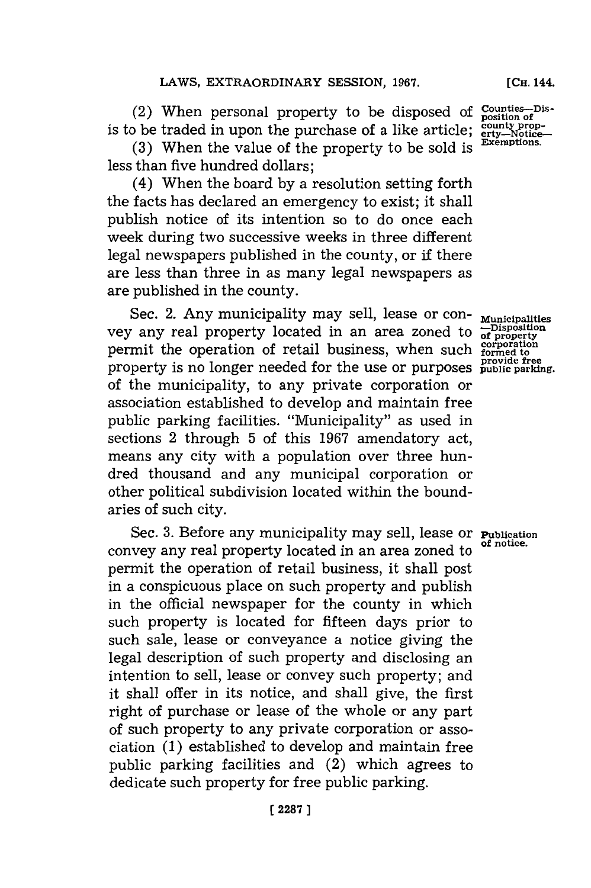(2) When personal property to be disposed of is to be traded in upon the purchase of a like article;

**(3)** When the value of the property to be sold is less than five hundred dollars;

(4) When the board **by** a resolution setting forth the facts has declared an emergency to exist; it shall publish notice of its intention so to do once each week during two successive weeks in three different legal newspapers published in the county, or if there are less than three in as many legal newspapers as are published in the county.

Sec. 2. Any municipality may sell, lease or con-**Municipalities** vey any real property located in an area zoned to **-Disposition of property** permit the operation of retail business, when such property is no longer needed for the use or purposes of the municipality, to any private corporation or association established to develop and maintain free public parking facilities. "Municipality" as used in sections 2 through **5** of this **1967** amendatory act, means any city with a population over three hundred thousand and any municipal corporation or other political subdivision located within the boundaries of such city.

Sec. **3.** Before any municipality may sell, lease or **Publication** convey any real property located in an area zoned to permit the operation of retail business, it shall post in a conspicuous place on such property and publish in the official newspaper for the county in which such property is located for fifteen days prior to such sale, lease or conveyance a notice giving the legal description of such property and disclosing an intention to sell, lease or convey such property; and it shall offer in its notice, and shall give, the first right of purchase or lease of the whole or any part of such property to any private corporation or association **(1)** established to develop and maintain free public parking facilities and (2) which agrees to dedicate such property for free public parking.

**Counties-Dis-position of county prop- erty-Notice-Exemptions.**

**[CH.** 144.

**corpration formed to provide free public parking.**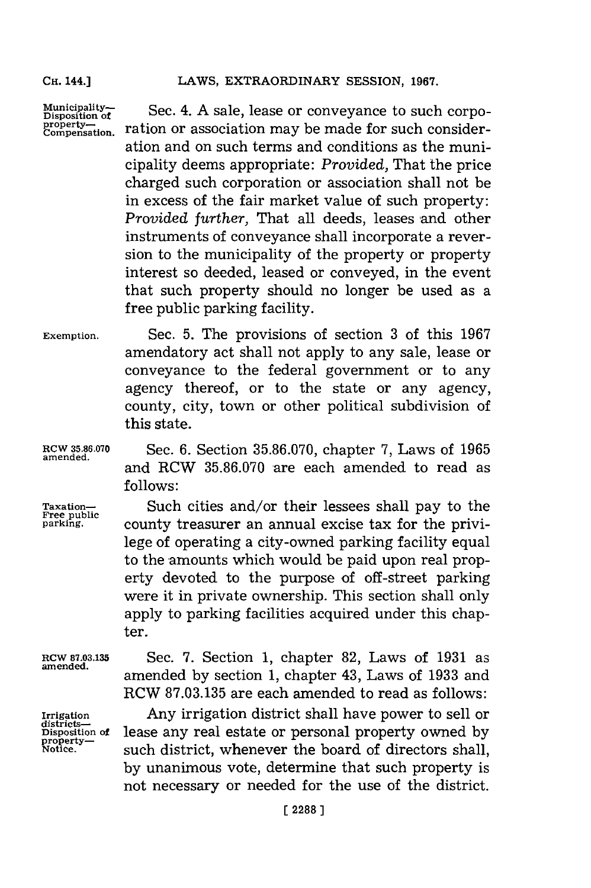**Municipality-Disposition of property- Compensation**

Sec. 4. **A** sale, lease or conveyance to such corporation or association may be made for such consideration and on such terms and conditions as the municipality deems appropriate: *Provided,* That the price charged such corporation or association shall not be in excess of the fair market value of such property: *Provided further,* That all deeds, leases and other instruments of conveyance shall incorporate a reversion to the municipality of the property or property interest so deeded, leased or conveyed, in the event that such property should no longer be used as a free public parking facility.

**Exemption.** Sec. **5.** The provisions of section **3** of this **1967** amendatory act shall not apply to any sale, lease or conveyance to the federal government or to any agency thereof, or to the state or any agency, county, city, town or other political subdivision of this state.

**RCW 35.86.070**<br>amended.

**RCW 35.86.070** Sec. **6.** Section **35.86.070,** chapter **7,** Laws of **1965** and RCW **35.86.070** 'are each amended to read as **follows:**

Taxation-<br> **Free public**<br> **Example 2** county treasurer an annual excise tax for the privicounty treasurer an annual excise tax for the privilege of operating a city-owned parking facility equal to the amounts which would be paid upon real property devoted to the purpose of off-street parking were it in private ownership. This section shall only apply to parking facilities acquired under this chapter.

**RCW 87.03.135 amended.**

**Irrigation districts-Disposition of property-**

Sec. **7.** Section **1,** chapter **82,** Laws of **1931** as amended **by** section **1,** chapter 43, Laws of **1933** and ROW **87.03.135** are each amended to read as follows:

Any irrigation district shall have power to sell or lease any real estate or personal property owned **by** such district, whenever the board of directors shall, **by** unanimous vote, determine that such property is not necessary or needed for the use of the district.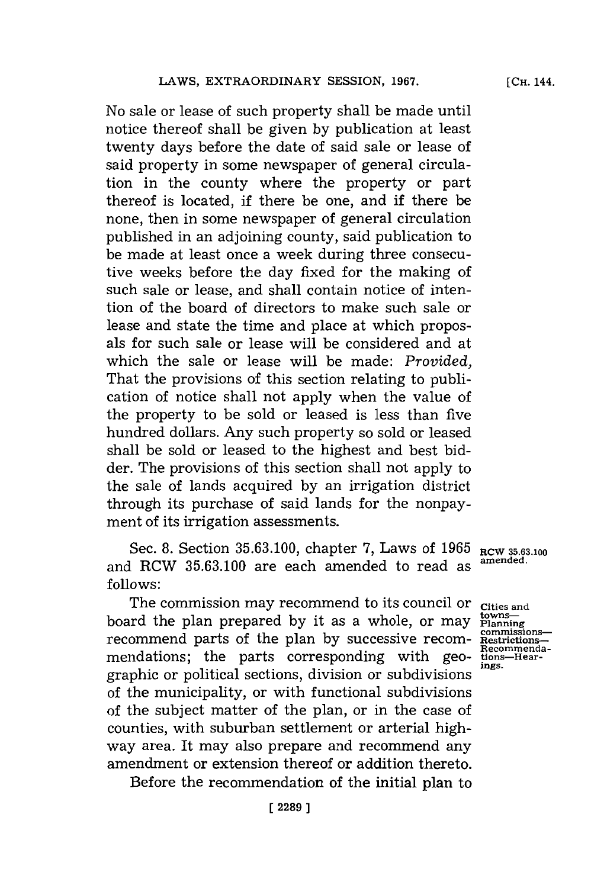No sale or lease of such property shall be made until notice thereof shall be given **by** publication at least twenty days before the date of said sale or lease of said property in some newspaper of general circulation in the county where the property or part thereof is located, if there be one, and if there be none, then in some newspaper of general circulation published in an adjoining county, said publication to be made at least once a week during three consecutive weeks before the day fixed for the making of such sale or lease, and shall contain notice of intention of the board of directors to make such sale or lease and state the time and place at which proposals for such sale or lease will be considered and at which the sale or lease will be made: *Provided,* That the provisions of this section relating to publication of notice shall not apply when the value of the property to be sold or leased is less than five hundred dollars. Any such property so sold or leased shall be sold or leased to the highest and best bidder. The provisions of this section shall not apply to the sale of lands acquired **by** an irrigation district through its purchase of said lands for the nonpay-

Sec. **8.** Section **35.63.100,** chapter **7,** Laws of **1965 RCW 35.63.100** and RCW **35.63.100** are each amended to read as **amfended. follows:**

ment of its irrigation assessments.

The commission may recommend to its council or cities and<br>ard the plan prepared by it as a whole, or may planning board the plan prepared by it as a whole, or may  $\frac{\text{beam}}{\text{Planning}}$  recommend parts of the plan by successive recom- $\frac{\text{commissions}}{\text{Riemannian}}$ recommend parts of the plan by successive recommendations; the parts corresponding with geo-<br>  $\frac{\text{Recommenal}}{\text{loss}}$ graphic or political sections, division or subdivisions **ings.** of the municipality, or with functional subdivisions of the subject matter of the plan, or in the case of counties, with suburban settlement or arterial highway area. It may also prepare and recommend any amendment or extension thereof or addition thereto.

Before the recommendation of the initial plan to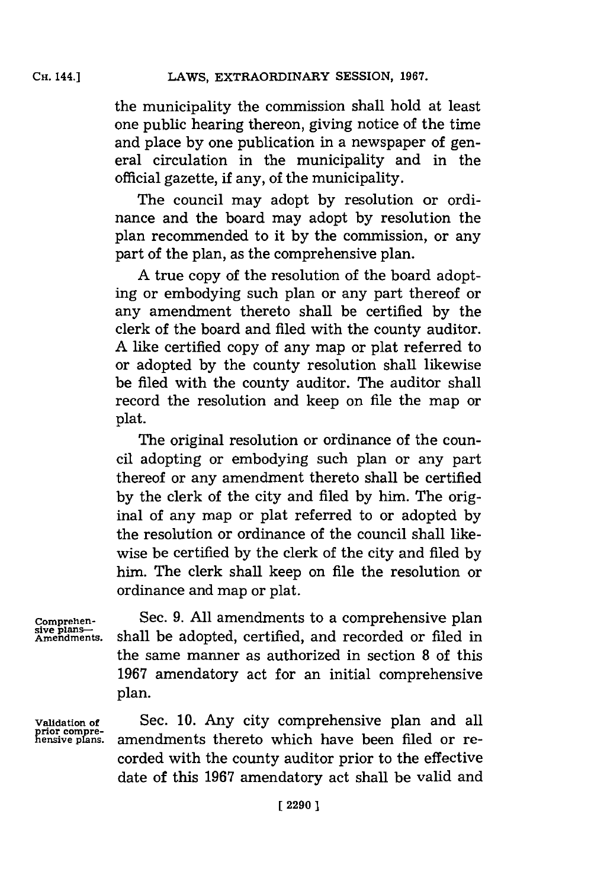the municipality the commission shall hold at least one public hearing thereon, giving notice of the time and place **by** one publication in a newspaper of general circulation in the municipality and in the official gazette, if any, of the municipality.

The council may adopt **by** resolution or ordinance and the board may adopt **by** resolution the plan recommended to it **by** the commission, or any part of the plan, as the comprehensive plan.

**A** true copy of the resolution of the board adopting or embodying such plan or any part thereof or any amendment thereto shall be certified **by** the clerk of the board and filed with the county auditor. **A** like certified copy of any map or plat referred to or adopted **by** the county resolution shall likewise be filed with the county auditor. The auditor shall record the resolution and keep on file the map or plat.

The original resolution or ordinance of the council adopting or embodying such plan or any part thereof or any amendment thereto shall be certified **by** the clerk of the city and filed **by** him. The original of any map or plat referred to or adopted **by** the resolution or ordinance of the council shall likewise be certified **by** the clerk of the city and filed **by** him. The clerk shall keep on file the resolution or ordinance and map or plat.

**Comprehensive plans-- Amendments.**

Sec. **9. All** amendments to a comprehensive plan shall be adopted, certified, and recorded or filed in the same manner as authorized in section **8** of this **1967** amendatory act for an initial comprehensive plan.

**Validation of**

Sec. **10.** Any city comprehensive plan and all amendments thereto which have been filed or recorded with the county auditor prior to the effective date of this **1967** amendatory act shall be valid and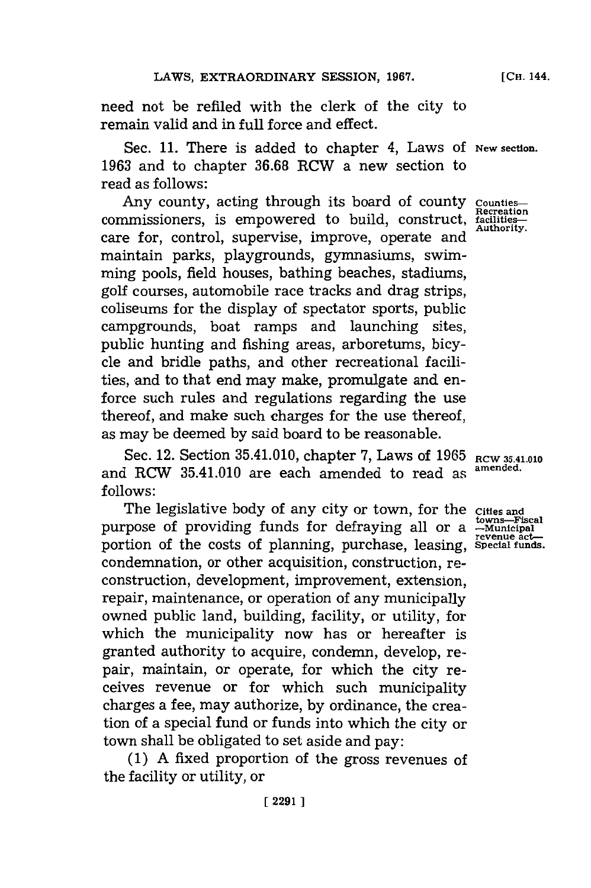need not be refiled with the clerk of the city to remain valid and in full force and effect.

Sec. 11. There is added to chapter 4, Laws of New section. **1963** and to chapter **36.68** RCW a new section to read as follows:

Any county, acting through its board of county countiescommissioners, is empowered to build, construct, <del>facilities-</del> care for, control, supervise, improve, operate and maintain parks, playgrounds, gymnasiums, swimming pools, field houses, bathing beaches, stadiums, golf courses, automobile race tracks and drag strips, coliseums for the display of spectator sports, public campgrounds, boat ramps and launching sites, public hunting and fishing areas, arboretums, bicycle and bridle paths, and other recreational facilities, and to that end may make, promulgate and enforce such rules and regulations regarding the use thereof, and make such charges for the use thereof, as may be deemed **by** said board to be reasonable.

Sec. 12. Section 35.41.010, chapter 7, Laws of 1965 RCW 35.41.010 and RCW 35.41.010 are each amended to read as **amended. follows:**

The legislative body of any city or town, for the **Cities and** purpose of providing funds for defraying all or a  $\frac{100 \text{ m/s}}{100 \text{ m/s}}$ portion of the costs of planning, purchase, leasing, **Special funds**. condemnation, or other acquisition, construction, reconstruction, development, improvement, extension, repair, maintenance, or operation of any municipally owned public land, building, facility, or utility, for which the municipality now has or hereafter is granted authority to acquire, condemn, develop, repair, maintain, or operate, for which the city receives revenue or for which such municipality charges a fee, may authorize, **by** ordinance, the creation of a special fund or funds into which the city or town shall be obligated to set aside and pay:

**(1) A** fixed proportion of the gross revenues of the facility or utility, or

**towns-Fiscal**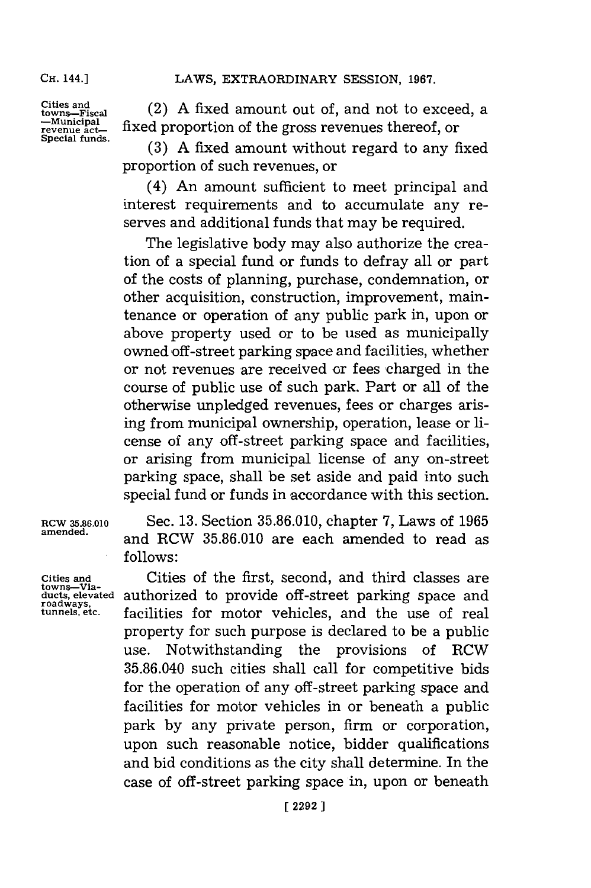**Cities and towns--Fiscal -Municipal revenue act-Special funds.**

(2) **A** fixed amount out of, and not to exceed, a fixed proportion of the gross revenues thereof, or

**(3) A** fixed amount without regard to any fixed proportion of such revenues, or

(4) An amount sufficient to meet principal and interest requirements and to accumulate any reserves and additional funds that may be required.

The legislative body may also authorize the creation of a special fund or funds to defray all or part of the costs of planning, purchase, condermation, or other acquisition, construction, improvement, maintenance or operation of any public park in, upon or above property used or to be used as municipally owned off-street parking space and facilities, whether or not revenues are received or fees charged in the course of public use of such park. Part or all of the otherwise unpledged revenues, fees or charges arising from municipal ownership, operation, lease or license of any off-street parking space and facilities, or arising from municipal license of any on-street parking space, shall be set aside and paid into such special fund or funds in accordance with this section.

towns-Via-<br>ducts, elevated **roadways,**

**amended,** and RCW **35.86.010** are each amended to read as **follows:**

**Cities and** Cities of the first, second, and third classes are authorized to provide off-street parking space and facilities for motor vehicles, and the use of real property for such purpose is declared to be a public use. Notwithstanding the provisions of RCW **35.86.040** such cities shall call for competitive bids for the operation of any off-street parking space and facilities for motor vehicles in or beneath a public park **by** any private person, firm or corporation, upon such reasonable notice, bidder qualifications and bid conditions as the city shall determine. In the case of off-street parking space in, upon or beneath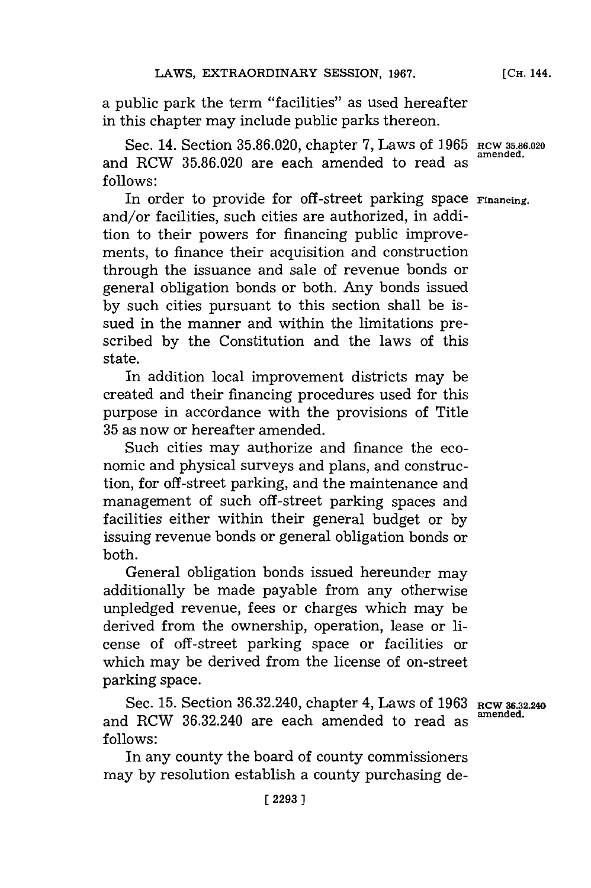a public park the term "facilities" as used hereafter in this chapter may include public parks thereon.

Sec. 14. Section **35.86.020,** chapter **7,** Laws of **1965 RCW5.6.020** and RCW **35.86.020** are each amended to read as **follows:**

In order to provide for off-street parking space **Financing**. and/or facilities, such cities are authorized, in addition to their powers for financing public improvements, to finance their acquisition and construction through the issuance and sale of revenue bonds or general obligation bonds or both. Any bonds issued **by** such cities pursuant to this section shall be issued in the manner and within the limitations prescribed **by** the Constitution and the laws of this state.

In addition local improvement districts may be created and their financing procedures used for this purpose in accordance with the provisions of Title **35** as now or hereafter amended.

Such cities may authorize and finance the economic and physical surveys and plans, and construction, for off -street parking, and the maintenance and management of such off -street parking spaces and facilities either within their general budget or **by** issuing revenue bonds or general obligation bonds or both.

General obligation bonds issued hereunder may additionally be made payable from any otherwise unpledged revenue, fees or charges which may be derived from the ownership, operation, lease or license of off -street parking space or facilities or which may be derived from the license of on-street parking space.

Sec. 15. Section 36.32.240, chapter 4, Laws of 1963 Rcw 36.32.240 and RCW 36.32.240 are each amended to read as **follows:**

In any county the board of county commissioners may **by** resolution establish a county purchasing de-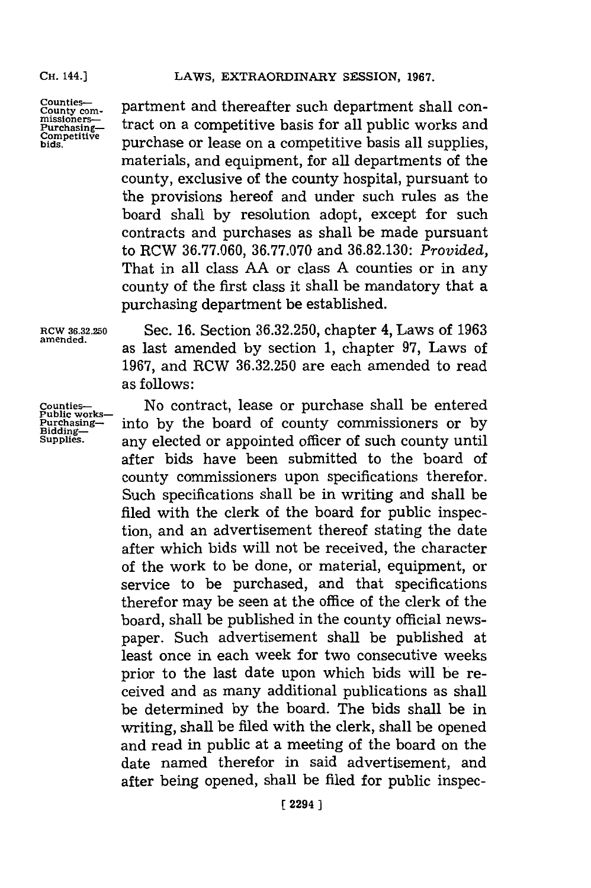counties—<br><sup>County com- partment and thereafter such department shall con-</sup>  $\begin{array}{ll}\n\text{Counties}\text{---} & \text{partment and thereafter such department shall con-} \\
\text{missioners}\text{---} & \text{tract on a competitive basis for all public works and}\n\end{array}$ **Competitive purchase or lease on a competitive basis all supplies,** materials, and equipment, for all departments of the county, exclusive of the county hospital, pursuant to the provisions hereof and under such rules as the board shall **by** resolution adopt, except for such contracts and purchases as shall be made pursuant to RCW **36.77.060, 36.77.070** and **36.82.130:** *Provided,* That in all class **AA** or class **A** counties or in any county of the first class it shall be mandatory that a purchasing department be established.

**RCW 36.32.250** Sec. **16.** Section **36.32.250,** chapter 4, Laws of **1963** amened. as last amended **by** section **1,** chapter **97,** Laws of **1967,** and RCW **36.32.250** are each amended to read as follows:

Counties— **No contract, lease or purchase shall be entered** Public works— **Durchasing—** into by the board of county commissioners or by **Bidding** into by the board of county commissioners or by **supplies.** any elected or appointed officer of such county until after bids have been submitted to the board of county commissioners upon specifications therefor. Such specifications shall be in writing and shall be filed with the clerk of the board for public inspection, and an advertisement thereof stating the date after which bids will not be received, the character of the work to be done, or material, equipment, or service to be purchased, and that specifications therefor may be seen at the office of the clerk of the board, shall be published in the county official newspaper. Such advertisement shall be published at least once in each week for two consecutive weeks prior to the last date upon which bids will be received and as many additional publications as shall be determined **by** the board. The bids shall be in writing, shall be filed with the clerk, shall be opened and read in public at a meeting of the board on the date named therefor in said advertisement, and after being opened, shall be filed for public inspec-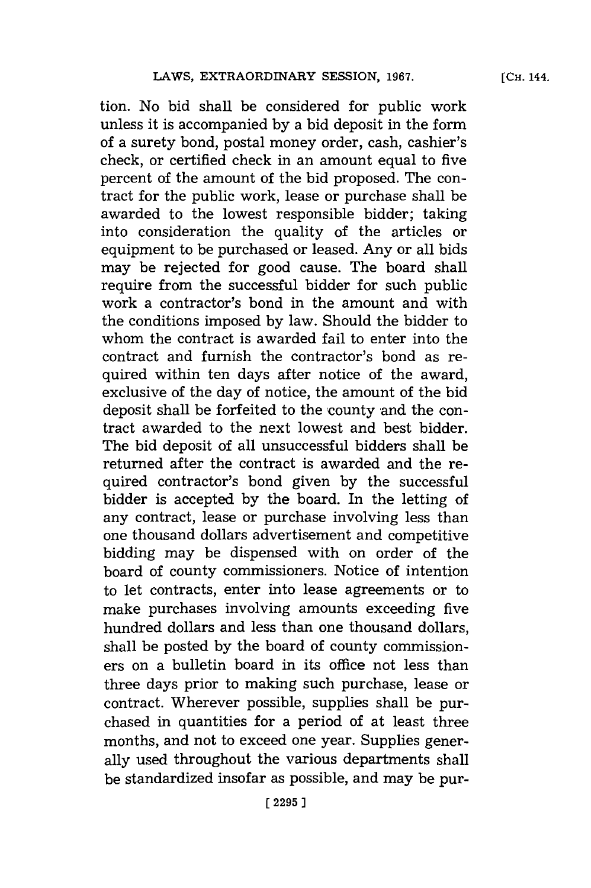**[CH.** 144.

tion. No bid shall be considered for public work unless it is accompanied **by** a bid deposit in the form of a surety bond, postal money order, cash, cashier's check, or certified check in an amount equal to five percent of the amount of the bid proposed. The contract for the public work, lease or purchase shall be awarded to the lowest responsible bidder; taking into consideration the quality of the articles or equipment to be purchased or leased. Any or all bids may be rejected for good cause. The board shall require from the successful bidder for such public work a contractor's bond in the amount and with the conditions imposed **by** law. Should the bidder to whom the contract is awarded fail to enter into the contract and furnish the contractor's bond as required within ten days after notice of the award, exclusive of the day of notice, the amount of the bid deposit shall be forfeited to the county and the contract awarded to the next lowest and best bidder. The bid deposit of all unsuccessful bidders shall be returned after the contract is awarded and the required contractor's bond given **by** the successful bidder is accepted **by** the board. In the letting of any contract, lease or purchase involving less than one thousand dollars advertisement and competitive bidding may be dispensed with on order of the board of county commissioners. Notice of intention to let contracts, enter into lease agreements or to make purchases involving amounts exceeding five hundred dollars and less than one thousand dollars, shall be posted **by** the board of county commissioners on a bulletin board in its office not less than three days prior to making such purchase, lease or contract. Wherever possible, supplies shall be purchased in quantities for a period of at least three months, and not to exceed one year. Supplies generally used throughout the various departments shall be standardized insofar as possible, and may be pur-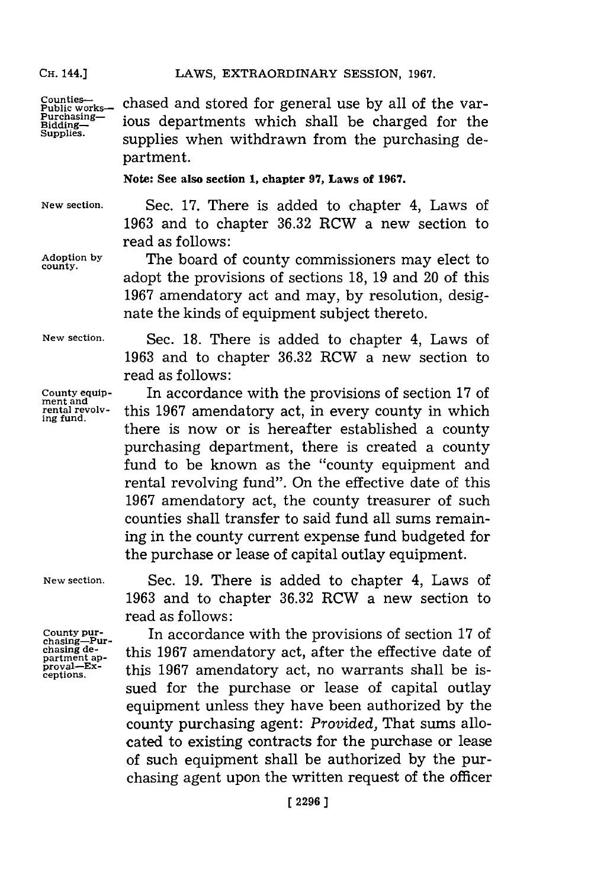chased and stored for general use **by** all of the various departments which shall be charged for the supplies when withdrawn from the purchasing department. **Counties-- Public works-Purchasing-Bidding-Supplies.**

**Note: See also section 1, chapter 97, Laws of 1967.**

**New section.** Sec. **17.** There is added to chapter 4, Laws of **1963** and to chapter **36.32** RCW a new section to read as follows:

**county.**

**Adoption by** The board of county commissioners may elect to adopt the provisions of sections **18, 19** and 20 of this **1967** amendatory act and may, **by** resolution, designate the kinds of equipment subject thereto.

> Sec. **18.** There is added to chapter 4, Laws of **1963** and to chapter **36.32** RCW a new section to

**New section.**

**County equipment and rental revolving fund.**

read as follows: In accordance with the provisions of section **17** of this **1967** amendatory act, in every county in which there is now or is hereafter established a county purchasing department, there is created a county fund to be known as the "county equipment and rental revolving fund". On the effective date of this **1967** amendatory act, the county treasurer of such counties shall transfer to said fund all sums remaining in the county current expense fund budgeted for the purchase or lease of capital outlay equipment.

**New section.**

**County pur- chasing-Pur-chasing de**partment ap**proval-Exceptions.**

Sec. **19.** There is added to chapter 4, Laws of **1963** and to chapter **36.32** RCW a new section to read as follows:

In accordance with the provisions of section **17** of this **1967** amendatory act, after the effective date of this **1967** amendatory act, no warrants shall be issued for the purchase or lease of capital outlay equipment unless they have been authorized **by** the county purchasing agent: *Provided,* That sums allocated to existing contracts for the purchase or lease of such equipment shall be authorized **by** the purchasing agent upon the written request of the officer